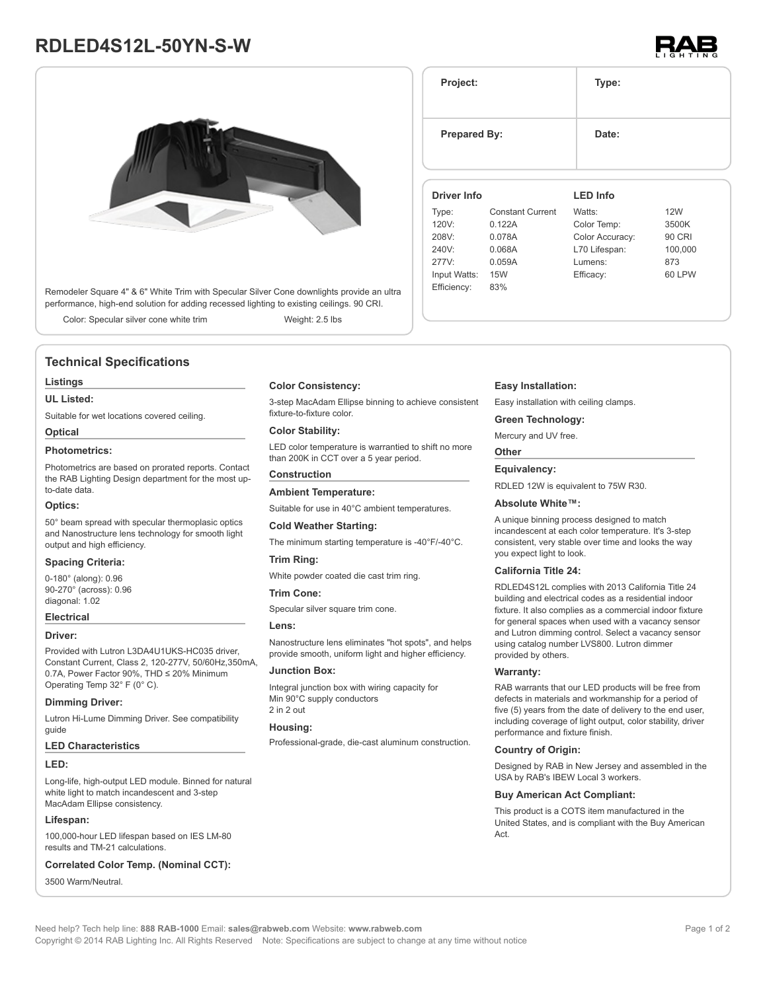# **RDLED4S12L-50YN-S-W**



Remodeler Square 4" & 6" White Trim with Specular Silver Cone downlights provide an ultra performance, high-end solution for adding recessed lighting to existing ceilings. 90 CRI.

Color: Specular silver cone white trim Weight: 2.5 lbs

## **Technical Specifications**

#### **Listings**

#### **UL Listed:**

Suitable for wet locations covered ceiling.

## **Optical**

### **Photometrics:**

Photometrics are based on prorated reports. Contact the RAB Lighting Design department for the most upto-date data.

#### **Optics:**

50° beam spread with specular thermoplasic optics and Nanostructure lens technology for smooth light output and high efficiency.

#### **Spacing Criteria:**

0-180° (along): 0.96 90-270° (across): 0.96 diagonal: 1.02

#### **Electrical**

#### **Driver:**

Provided with Lutron L3DA4U1UKS-HC035 driver, Constant Current, Class 2, 120-277V, 50/60Hz,350mA, 0.7A, Power Factor 90%, THD ≤ 20% Minimum Operating Temp 32° F (0° C).

#### **Dimming Driver:**

Lutron Hi-Lume Dimming Driver. See compatibility guide

#### **LED Characteristics**

#### **LED:**

Long-life, high-output LED module. Binned for natural white light to match incandescent and 3-step MacAdam Ellipse consistency.

#### **Lifespan:**

100,000-hour LED lifespan based on IES LM-80 results and TM-21 calculations.

### **Correlated Color Temp. (Nominal CCT):**

3500 Warm/Neutral.

#### **Color Consistency:**

3-step MacAdam Ellipse binning to achieve consistent fixture-to-fixture color.

#### **Color Stability:**

LED color temperature is warrantied to shift no more than 200K in CCT over a 5 year period.

## **Construction**

**Ambient Temperature:** Suitable for use in 40°C ambient temperatures.

#### **Cold Weather Starting:**

The minimum starting temperature is -40°F/-40°C.

#### **Trim Ring:**

White powder coated die cast trim ring.

#### **Trim Cone:**

Specular silver square trim cone.

#### **Lens:**

Nanostructure lens eliminates "hot spots", and helps provide smooth, uniform light and higher efficiency.

#### **Junction Box:**

Integral junction box with wiring capacity for Min 90°C supply conductors 2 in 2 out

#### **Housing:**

Professional-grade, die-cast aluminum construction.

#### **Easy Installation:**

**Project: Type:**

**Prepared By:** Date:

Easy installation with ceiling clamps.

#### **Green Technology:**

Mercury and UV free.

# **Other**

**Equivalency:** RDLED 12W is equivalent to 75W R30.

## **Absolute White™:**

A unique binning process designed to match incandescent at each color temperature. It's 3-step consistent, very stable over time and looks the way you expect light to look.

#### **California Title 24:**

RDLED4S12L complies with 2013 California Title 24 building and electrical codes as a residential indoor fixture. It also complies as a commercial indoor fixture for general spaces when used with a vacancy sensor and Lutron dimming control. Select a vacancy sensor using catalog number LVS800. Lutron dimmer

RAB warrants that our LED products will be free from defects in materials and workmanship for a period of five (5) years from the date of delivery to the end user, including coverage of light output, color stability, driver performance and fixture finish.

#### **Country of Origin:**

Designed by RAB in New Jersey and assembled in the USA by RAB's IBEW Local 3 workers.

#### **Buy American Act Compliant:**

This product is a COTS item manufactured in the United States, and is compliant with the Buy American Act.

provided by others. **Warranty:**

Need help? Tech help line: **888 RAB-1000** Email: **sales@rabweb.com** Website: **www.rabweb.com** Copyright © 2014 RAB Lighting Inc. All Rights Reserved Note: Specifications are subject to change at any time without notice